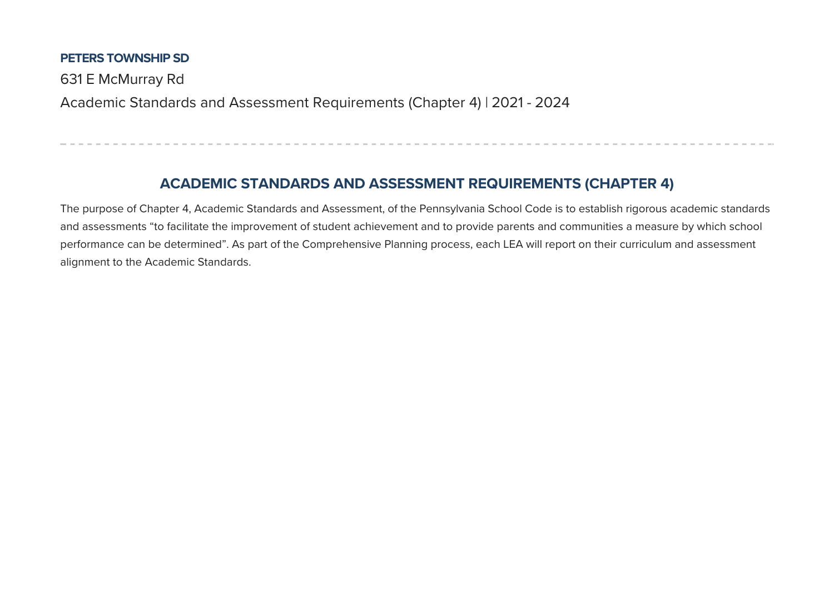#### **PETERS TOWNSHIP SD**

631 E McMurray Rd

Academic Standards and Assessment Requirements (Chapter 4) | 2021 - 2024

## **ACADEMIC STANDARDS AND ASSESSMENT REQUIREMENTS (CHAPTER 4)**

The purpose of Chapter 4, Academic Standards and Assessment, of the Pennsylvania School Code is to establish rigorous academic standards and assessments "to facilitate the improvement of student achievement and to provide parents and communities a measure by which school performance can be determined". As part of the Comprehensive Planning process, each LEA will report on their curriculum and assessment alignment to the Academic Standards.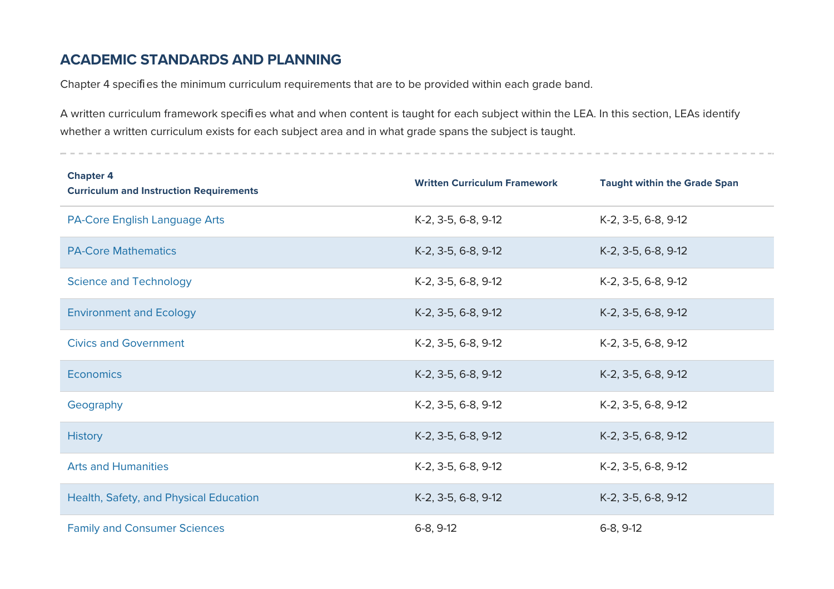### **ACADEMIC STANDARDS AND PLANNING**

Chapter 4 specifies the minimum curriculum requirements that are to be provided within each grade band.

A written curriculum framework specifies what and when content is taught for each subject within the LEA. In this section, LEAs identify whether a written curriculum exists for each subject area and in what grade spans the subject is taught.

| <b>Chapter 4</b><br><b>Curriculum and Instruction Requirements</b> | <b>Written Curriculum Framework</b> | <b>Taught within the Grade Span</b> |
|--------------------------------------------------------------------|-------------------------------------|-------------------------------------|
| PA-Core English Language Arts                                      | K-2, 3-5, 6-8, 9-12                 | K-2, 3-5, 6-8, 9-12                 |
| <b>PA-Core Mathematics</b>                                         | K-2, 3-5, 6-8, 9-12                 | K-2, 3-5, 6-8, 9-12                 |
| <b>Science and Technology</b>                                      | K-2, 3-5, 6-8, 9-12                 | K-2, 3-5, 6-8, 9-12                 |
| <b>Environment and Ecology</b>                                     | K-2, 3-5, 6-8, 9-12                 | K-2, 3-5, 6-8, 9-12                 |
| <b>Civics and Government</b>                                       | K-2, 3-5, 6-8, 9-12                 | K-2, 3-5, 6-8, 9-12                 |
| <b>Economics</b>                                                   | K-2, 3-5, 6-8, 9-12                 | K-2, 3-5, 6-8, 9-12                 |
| Geography                                                          | K-2, 3-5, 6-8, 9-12                 | K-2, 3-5, 6-8, 9-12                 |
| <b>History</b>                                                     | K-2, 3-5, 6-8, 9-12                 | K-2, 3-5, 6-8, 9-12                 |
| <b>Arts and Humanities</b>                                         | K-2, 3-5, 6-8, 9-12                 | K-2, 3-5, 6-8, 9-12                 |
| Health, Safety, and Physical Education                             | K-2, 3-5, 6-8, 9-12                 | K-2, 3-5, 6-8, 9-12                 |
| <b>Family and Consumer Sciences</b>                                | $6-8, 9-12$                         | $6-8, 9-12$                         |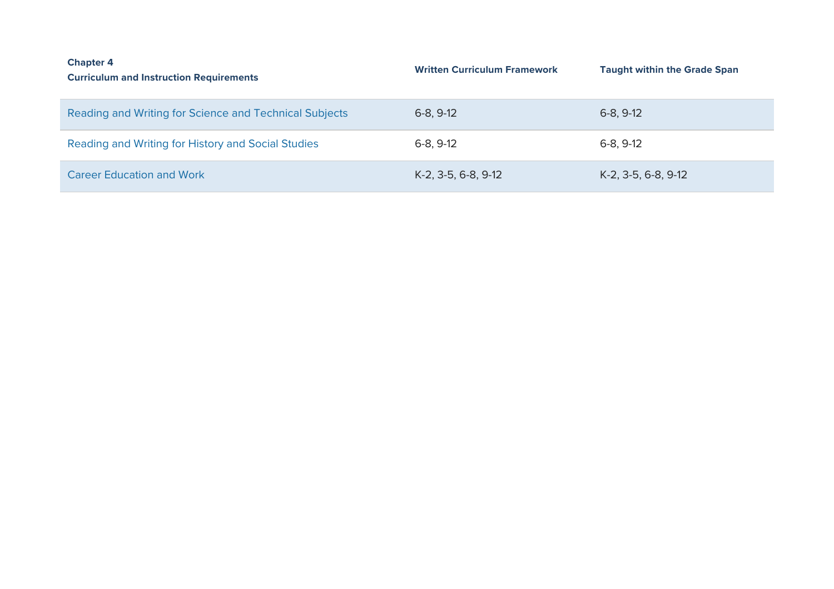| <b>Chapter 4</b><br><b>Curriculum and Instruction Requirements</b> | <b>Written Curriculum Framework</b> | <b>Taught within the Grade Span</b> |
|--------------------------------------------------------------------|-------------------------------------|-------------------------------------|
| Reading and Writing for Science and Technical Subjects             | $6-8, 9-12$                         | $6-8, 9-12$                         |
| Reading and Writing for History and Social Studies                 | $6-8, 9-12$                         | $6-8, 9-12$                         |
| <b>Career Education and Work</b>                                   | K-2, 3-5, 6-8, 9-12                 | K-2, 3-5, 6-8, 9-12                 |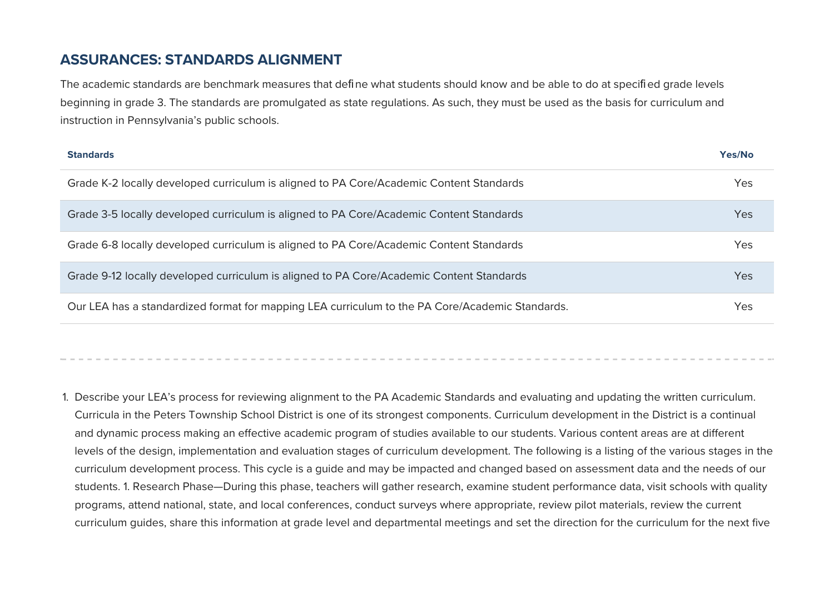#### **ASSURANCES: STANDARDS ALIGNMENT**

The academic standards are benchmark measures that define what students should know and be able to do at specified grade levels beginning in grade 3. The standards are promulgated as state regulations. As such, they must be used as the basis for curriculum and instruction in Pennsylvania's public schools.

| <b>Standards</b>                                                                                | Yes/No |
|-------------------------------------------------------------------------------------------------|--------|
| Grade K-2 locally developed curriculum is aligned to PA Core/Academic Content Standards         | Yes    |
| Grade 3-5 locally developed curriculum is aligned to PA Core/Academic Content Standards         | Yes    |
| Grade 6-8 locally developed curriculum is aligned to PA Core/Academic Content Standards         | Yes    |
| Grade 9-12 locally developed curriculum is aligned to PA Core/Academic Content Standards        | Yes    |
| Our LEA has a standardized format for mapping LEA curriculum to the PA Core/Academic Standards. | Yes    |

1. Describe your LEA's process for reviewing alignment to the PA Academic Standards and evaluating and updating the written curriculum. Curricula in the Peters Township School District is one of its strongest components. Curriculum development in the District is a continual and dynamic process making an effective academic program of studies available to our students. Various content areas are at different levels of the design, implementation and evaluation stages of curriculum development. The following is a listing of the various stages in the curriculum development process. This cycle is a quide and may be impacted and changed based on assessment data and the needs of our students. 1. Research Phase—During this phase, teachers will gather research, examine student performance data, visit schools with quality programs, attend national, state, and local conferences, conduct surveys where appropriate, review pilot materials, review the current curriculum quides, share this information at grade level and departmental meetings and set the direction for the curriculum for the next five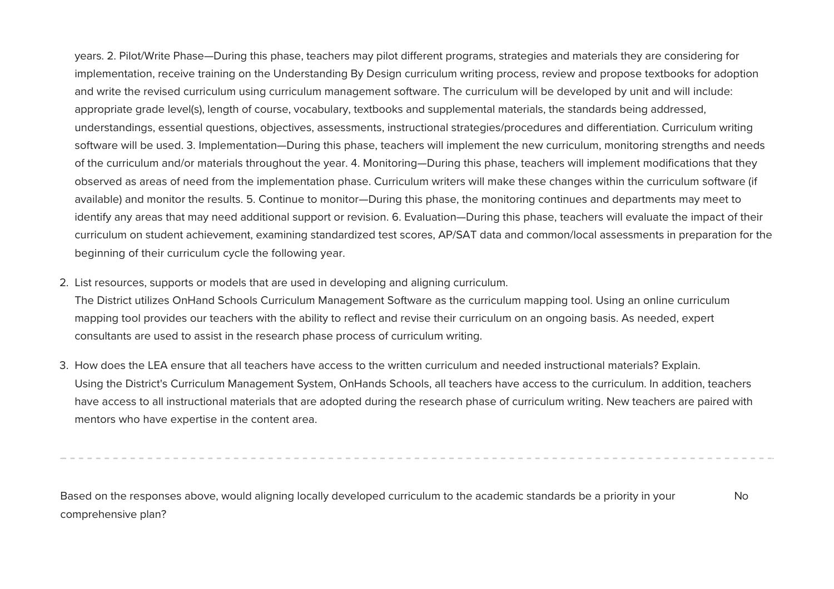years. 2. Pilot/Write Phase—During this phase, teachers may pilot different programs, strategies and materials they are considering for implementation, receive training on the Understanding By Design curriculum writing process, review and propose textbooks for adoption and write the revised curriculum using curriculum management software. The curriculum will be developed by unit and will include: appropriate grade level(s), length of course, vocabulary, textbooks and supplemental materials, the standards being addressed, understandings, essential questions, objectives, assessments, instructional strategies/procedures and differentiation. Curriculum writing software will be used. 3. Implementation—During this phase, teachers will implement the new curriculum, monitoring strengths and needs of the curriculum and/or materials throughout the year. 4. Monitoring—During this phase, teachers will implement modifications that they observed as areas of need from the implementation phase. Curriculum writers will make these changes within the curriculum software (if available) and monitor the results. 5. Continue to monitor—During this phase, the monitoring continues and departments may meet to identify any areas that may need additional support or revision. 6. Evaluation—During this phase, teachers will evaluate the impact of their curriculum on student achievement, examining standardized test scores, AP/AT data and common/local assessments in preparation for the beginning of their curriculum cycle the following year.

2. List resources, supports or models that are used in developing and aligning curriculum.

The District utilizes OnHand Schools Curriculum Management Software as the curriculum mapping tool. Using an online curriculum mapping tool provides our teachers with the ability to reflect and revise their curriculum on an ongoing basis. As needed, expert consultants are used to assist in the research phase process of curriculum writing.

3. How does the LEA ensure that all teachers have access to the written curriculum and needed instructional materials? Explain. Using the District's Curriculum Management System, OnHands Schools, all teachers have access to the curriculum. In addition, teachers have access to all instructional materials that are adopted during the research phase of curriculum writing. New teachers are paired with mentors who have expertise in the content area.

Based on the responses above, would aligning locally developed curriculum to the academic standards be a priority in your comprehensive plan? No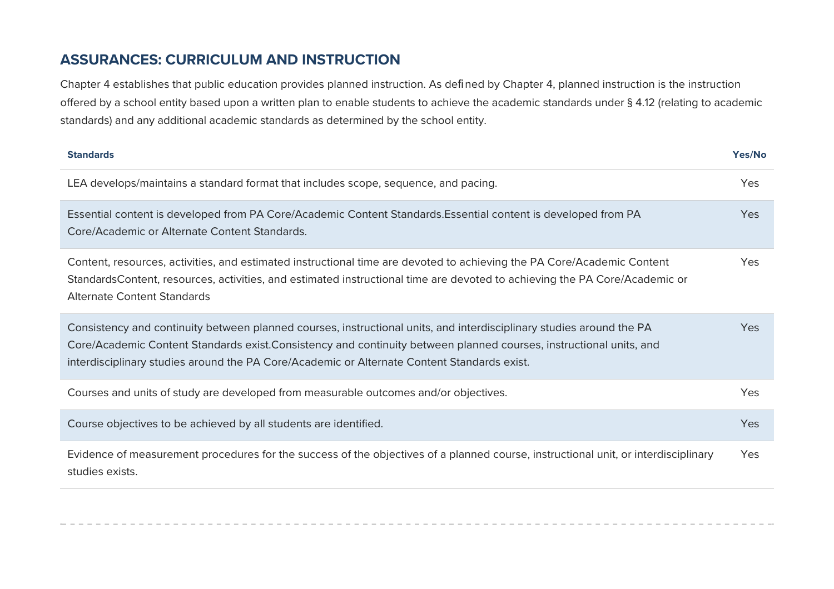### **ASSURANCES: CURRICULUM AND INSTRUCTION**

Chapter 4 establishes that public education provides planned instruction. As defined by Chapter 4, planned instruction is the instruction offered by a school entity based upon a written plan to enable students to achieve the academic standards under § 4.12 (relating to academic standards) and any additional academic standards as determined by the school entity.

| <b>Standards</b>                                                                                                                                                                                                                                                                                                                          | Yes/No     |
|-------------------------------------------------------------------------------------------------------------------------------------------------------------------------------------------------------------------------------------------------------------------------------------------------------------------------------------------|------------|
| LEA develops/maintains a standard format that includes scope, sequence, and pacing.                                                                                                                                                                                                                                                       | <b>Yes</b> |
| Essential content is developed from PA Core/Academic Content Standards. Essential content is developed from PA<br>Core/Academic or Alternate Content Standards.                                                                                                                                                                           | <b>Yes</b> |
| Content, resources, activities, and estimated instructional time are devoted to achieving the PA Core/Academic Content<br>StandardsContent, resources, activities, and estimated instructional time are devoted to achieving the PA Core/Academic or<br><b>Alternate Content Standards</b>                                                | Yes        |
| Consistency and continuity between planned courses, instructional units, and interdisciplinary studies around the PA<br>Core/Academic Content Standards exist.Consistency and continuity between planned courses, instructional units, and<br>interdisciplinary studies around the PA Core/Academic or Alternate Content Standards exist. | Yes.       |
| Courses and units of study are developed from measurable outcomes and/or objectives.                                                                                                                                                                                                                                                      | <b>Yes</b> |
| Course objectives to be achieved by all students are identified.                                                                                                                                                                                                                                                                          | <b>Yes</b> |
| Evidence of measurement procedures for the success of the objectives of a planned course, instructional unit, or interdisciplinary<br>studies exists.                                                                                                                                                                                     | Yes        |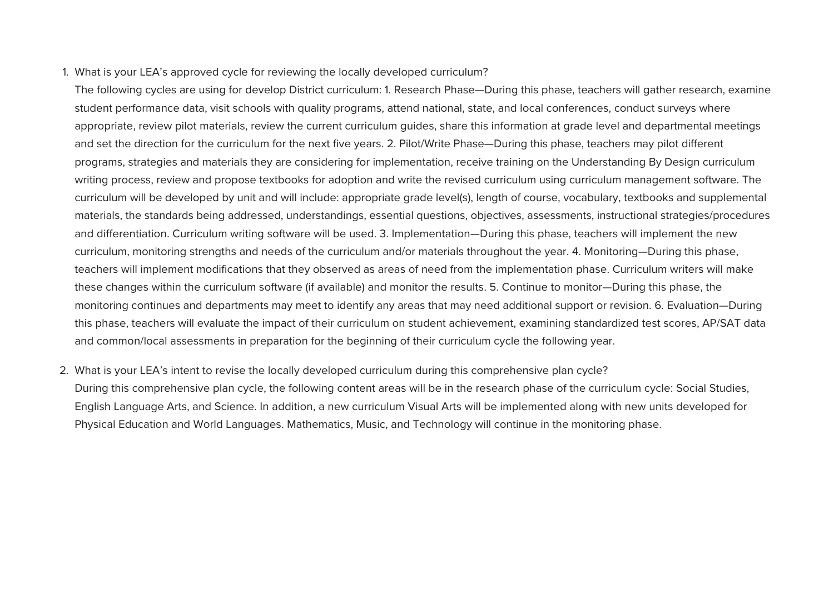1. What is your LEA's approved cycle for reviewing the locally developed curriculum?

The following cycles are using for develop District curriculum: 1. Research Phase—During this phase, teachers will gather research, examine student performance data, visit schools with quality programs, attend national, state, and local conferences, conduct surveys where appropriate, review pilot materials, review the current curriculum guides, share this information at grade level and departmental meetings and set the direction for the curriculum for the next five years. 2. Pilot/Write Phase—During this phase, teachers may pilot different programs, strategies and materials they are considering for implementation, receive training on the Understanding By Design curriculum writing process, review and propose textooks for adoption and write the revised curriculum using curriculum management software. The curriculum will be developed by unit and will include: appropriate grade level(s), length of course, vocabulary, textbooks and supplemental materials, the standards being addressed, understandings, essential questions, objectives, assessments, instructional strategies/procedures and differentiation. Curriculum writing software will be used. 3. Implementation—During this phase, teachers will implement the new curriculum, monitoring strengths and needs of the curriculum and/or materials throughout the year. 4. Monitoring—During this phase, teachers will implement modifications that they observed as areas of need from the implementation phase. Curriculum writers will make these changes within the curriculum software (if available) and monitor the results. 5. Continue to monitor—During this phase, the monitoring continues and departments may meet to identify any areas that may need additional support or revision. 6. Evaluation—During this phase, teachers will evaluate the impact of their curriculum on student achievement, examining standardized test scores, AP/AT data and common/local assessments in preparation for the beginning of their curriculum cycle the following year.

2. What is your LEA's intent to revise the locally developed curriculum during this comprehensive plan cycle?

During this comprehensive plan cycle, the following content areas will be in the research phase of the curriculum cycle: Social Studies, English Language Arts, and Science. In addition, a new curriculum Visual Arts will be implemented along with new units developed for Physical Education and World Languages. Mathematics, Music, and Technology will continue in the monitoring phase.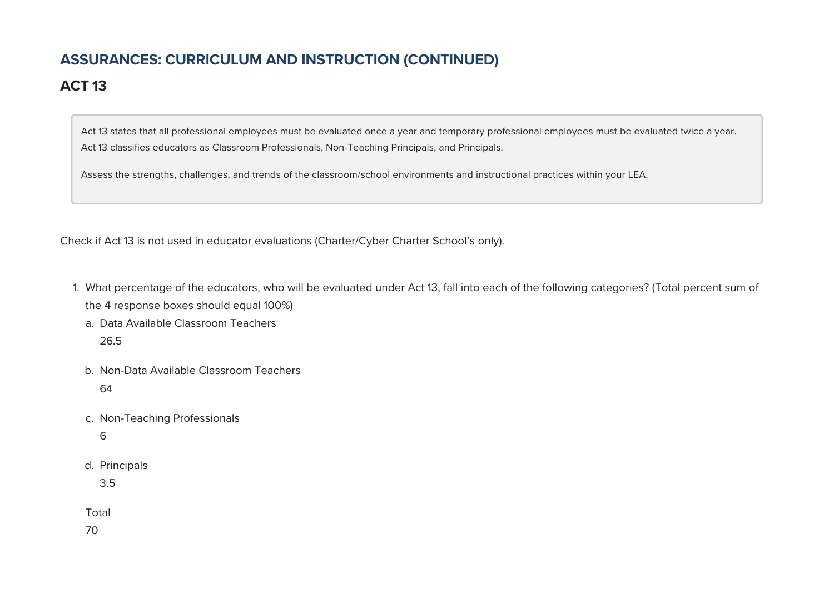# **ASSURANCES: CURRICULUM AND INSTRUCTION (CONTINUED)**

## **ACT 13**

Act 13 states that all professional employees must be evaluated once a year and temporary professional employees must be evaluated twice a year. Act 13 classifies educators as Classroom Professionals, Non-Teaching Principals, and Principals.

Assess the strengths, challenges, and trends of the classroom/school environments and instructional practices within your LEA.

Check if Act 13 is not used in educator evaluations (Charter/Cyber Charter School's only).

- 1. What percentage of the educators, who will be evaluated under Act 13, fall into each of the following categories? (Total percent sum of the 4 response boxes should equal 100%)
	- a. Data Available Classroom Teachers 26.5
	- b. Non-Data Available Classroom Teachers 64
	- c. Non-Teaching Professionals
		- 6
	- d. Principals

3.5

Total

70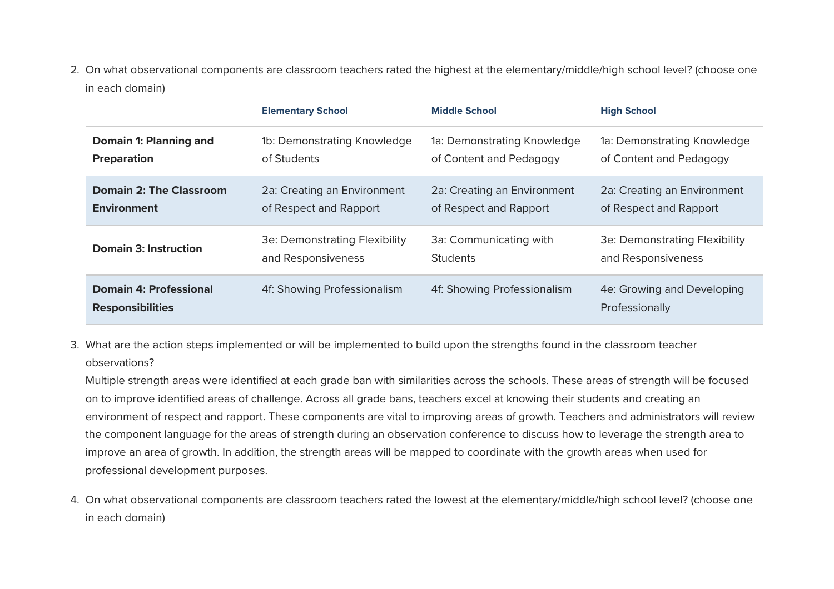2. On what observational components are classroom teachers rated the highest at the elementary/middle/high school level? (choose one in each domain)

|                                                          | <b>Elementary School</b>      | <b>Middle School</b>        | <b>High School</b>                           |
|----------------------------------------------------------|-------------------------------|-----------------------------|----------------------------------------------|
| Domain 1: Planning and                                   | 1b: Demonstrating Knowledge   | 1a: Demonstrating Knowledge | 1a: Demonstrating Knowledge                  |
| <b>Preparation</b>                                       | of Students                   | of Content and Pedagogy     | of Content and Pedagogy                      |
| <b>Domain 2: The Classroom</b>                           | 2a: Creating an Environment   | 2a: Creating an Environment | 2a: Creating an Environment                  |
| <b>Environment</b>                                       | of Respect and Rapport        | of Respect and Rapport      | of Respect and Rapport                       |
| <b>Domain 3: Instruction</b>                             | 3e: Demonstrating Flexibility | 3a: Communicating with      | 3e: Demonstrating Flexibility                |
|                                                          | and Responsiveness            | <b>Students</b>             | and Responsiveness                           |
| <b>Domain 4: Professional</b><br><b>Responsibilities</b> | 4f: Showing Professionalism   | 4f: Showing Professionalism | 4e: Growing and Developing<br>Professionally |

3. What are the action steps implemented or will be implemented to build upon the strengths found in the classroom teacher observations?

Multiple strength areas were identified at each grade ban with similarities across the schools. These areas of strength will be focused on to improve identified areas of challenge. Across all grade bans, teachers excel at knowing their students and creating an environment of respect and rapport. These components are vital to improving areas of growth. Teachers and administrators will review the component language for the areas of strength during an observation conference to discuss how to leverage the strength area to improve an area of growth. In addition, the strength areas will be mapped to coordinate with the growth areas when used for professional development purposes.

4. On what observational components are classroom teachers rated the lowest at the elementary/middle/high school level? (choose one in each domain)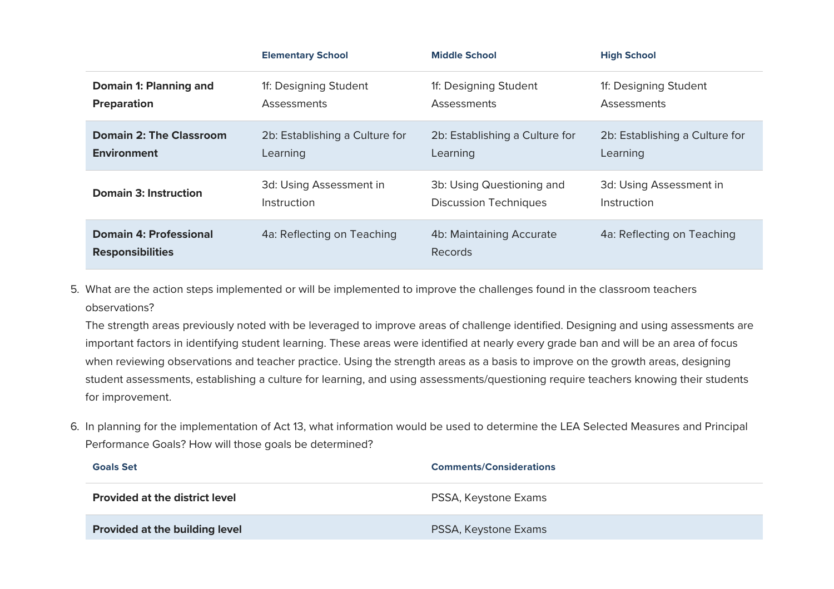|                                                          | <b>Elementary School</b>       | <b>Middle School</b>                | <b>High School</b>             |
|----------------------------------------------------------|--------------------------------|-------------------------------------|--------------------------------|
| Domain 1: Planning and                                   | 1f: Designing Student          | 1f: Designing Student               | 1f: Designing Student          |
| <b>Preparation</b>                                       | Assessments                    | <b>Assessments</b>                  | <b>Assessments</b>             |
| <b>Domain 2: The Classroom</b>                           | 2b: Establishing a Culture for | 2b: Establishing a Culture for      | 2b: Establishing a Culture for |
| <b>Environment</b>                                       | Learning                       | Learning                            | Learning                       |
| <b>Domain 3: Instruction</b>                             | 3d: Using Assessment in        | 3b: Using Questioning and           | 3d: Using Assessment in        |
|                                                          | Instruction                    | <b>Discussion Techniques</b>        | Instruction                    |
| <b>Domain 4: Professional</b><br><b>Responsibilities</b> | 4a: Reflecting on Teaching     | 4b: Maintaining Accurate<br>Records | 4a: Reflecting on Teaching     |

5. What are the action steps implemented or will be implemented to improve the challenges found in the classroom teachers observations?

The strength areas previously noted with be leveraged to improve areas of challenge identified. Designing and using assessments are important factors in identifying student learning. These areas were identified at nearly every grade ban and will be an area of focus when reviewing observations and teacher practice. Using the strength areas as a basis to improve on the growth areas, designing student assessments, establishing a culture for learning, and using assessments/questioning require teachers knowing their students for improvement.

6. In planning for the implementation of Act 13, what information would be used to determine the LEA Selected Measures and Principal Performance Goals? How will those goals be determined?

| <b>Goals Set</b>                      | <b>Comments/Considerations</b> |  |
|---------------------------------------|--------------------------------|--|
| <b>Provided at the district level</b> | PSSA, Keystone Exams           |  |
| <b>Provided at the building level</b> | PSSA, Keystone Exams           |  |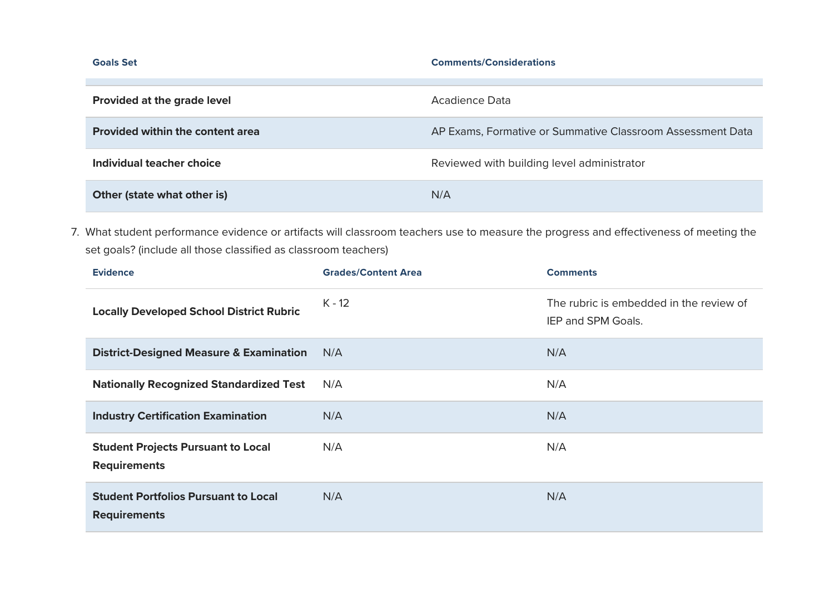| <b>Goals Set</b>                        | <b>Comments/Considerations</b>                             |  |
|-----------------------------------------|------------------------------------------------------------|--|
|                                         |                                                            |  |
| Provided at the grade level             | Acadience Data                                             |  |
| <b>Provided within the content area</b> | AP Exams, Formative or Summative Classroom Assessment Data |  |
| Individual teacher choice               | Reviewed with building level administrator                 |  |
| Other (state what other is)             | N/A                                                        |  |

7. What student performance evidence or artifacts will classroom teachers use to measure the progress and effectiveness of meeting the set goals? (include all those classified as classroom teachers)

| <b>Evidence</b>                                                    | <b>Grades/Content Area</b> | <b>Comments</b>                                               |
|--------------------------------------------------------------------|----------------------------|---------------------------------------------------------------|
| <b>Locally Developed School District Rubric</b>                    | $K - 12$                   | The rubric is embedded in the review of<br>IEP and SPM Goals. |
| <b>District-Designed Measure &amp; Examination</b>                 | N/A                        | N/A                                                           |
| <b>Nationally Recognized Standardized Test</b>                     | N/A                        | N/A                                                           |
| <b>Industry Certification Examination</b>                          | N/A                        | N/A                                                           |
| <b>Student Projects Pursuant to Local</b><br><b>Requirements</b>   | N/A                        | N/A                                                           |
| <b>Student Portfolios Pursuant to Local</b><br><b>Requirements</b> | N/A                        | N/A                                                           |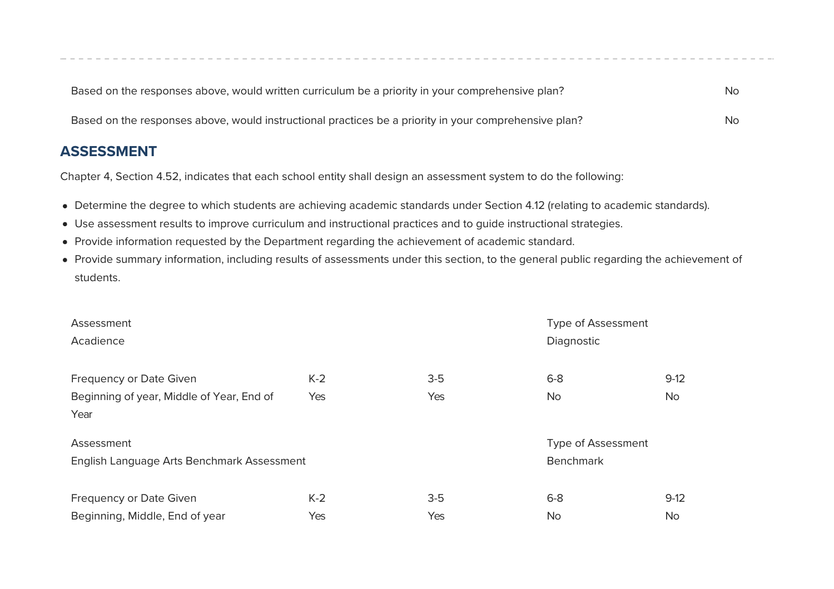| Based on the responses above, would written curriculum be a priority in your comprehensive plan?      | No |
|-------------------------------------------------------------------------------------------------------|----|
| Based on the responses above, would instructional practices be a priority in your comprehensive plan? | No |

#### **ASSESSMENT**

Chapter 4, Section 4.52, indicates that each school entity shall design an assessment system to do the following:

- Determine the degree to which students are achieving academic standards under Section 4.12 (relating to academic standards).
- Use assessment results to improve curriculum and instructional practices and to guide instructional strategies.
- Provide information requested by the Department regarding the achievement of academic standard.
- Provide summary information, including results of assessments under this section, to the general public regarding the achievement of students.

| Assessment                                 |       |       | <b>Type of Assessment</b> |           |
|--------------------------------------------|-------|-------|---------------------------|-----------|
| Acadience                                  |       |       | Diagnostic                |           |
|                                            |       |       |                           |           |
| <b>Frequency or Date Given</b>             | $K-2$ | $3-5$ | $6 - 8$                   | $9-12$    |
| Beginning of year, Middle of Year, End of  | Yes   | Yes   | No.                       | <b>No</b> |
| Year                                       |       |       |                           |           |
| Assessment                                 |       |       | <b>Type of Assessment</b> |           |
| English Language Arts Benchmark Assessment |       |       | <b>Benchmark</b>          |           |
|                                            |       |       |                           |           |
| <b>Frequency or Date Given</b>             | $K-2$ | $3-5$ | $6 - 8$                   | $9-12$    |
| Beginning, Middle, End of year             | Yes   | Yes   | <b>No</b>                 | <b>No</b> |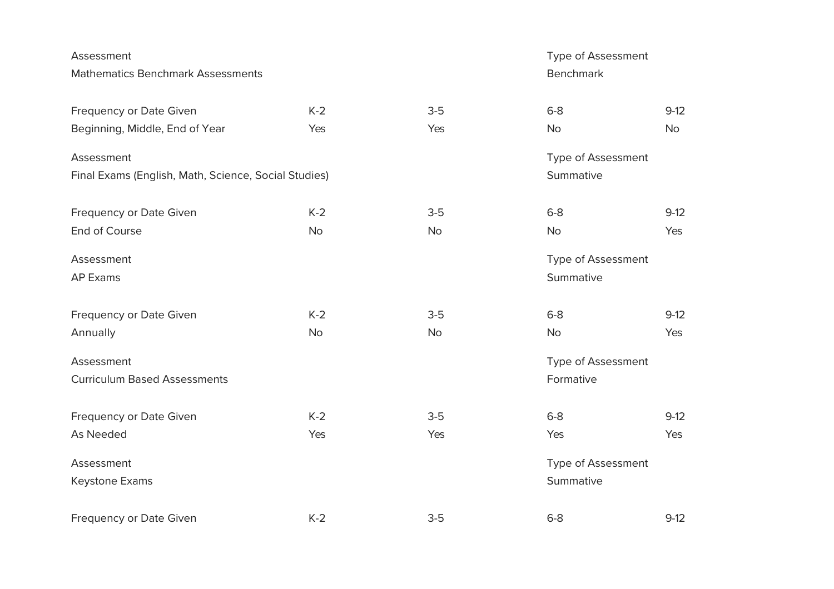| Assessment                                           |           | Type of Assessment |                           |           |
|------------------------------------------------------|-----------|--------------------|---------------------------|-----------|
| <b>Mathematics Benchmark Assessments</b>             |           |                    | <b>Benchmark</b>          |           |
| Frequency or Date Given                              | $K-2$     | $3-5$              | $6-8$                     | $9-12$    |
| Beginning, Middle, End of Year                       | Yes       | Yes                | <b>No</b>                 | <b>No</b> |
| Assessment                                           |           |                    | Type of Assessment        |           |
| Final Exams (English, Math, Science, Social Studies) |           |                    | Summative                 |           |
| Frequency or Date Given                              | $K-2$     | $3-5$              | $6-8$                     | $9-12$    |
| End of Course                                        | <b>No</b> | <b>No</b>          | <b>No</b>                 | Yes       |
| Assessment                                           |           |                    | <b>Type of Assessment</b> |           |
| <b>AP Exams</b>                                      |           |                    | Summative                 |           |
| Frequency or Date Given                              | $K-2$     | $3-5$              | $6-8$                     | $9-12$    |
| Annually                                             | <b>No</b> | No                 | <b>No</b>                 | Yes       |
| Assessment                                           |           |                    | <b>Type of Assessment</b> |           |
| <b>Curriculum Based Assessments</b>                  |           |                    | Formative                 |           |
| Frequency or Date Given                              | $K-2$     | $3-5$              | $6-8$                     | $9-12$    |
| As Needed                                            | Yes       | Yes                | Yes                       | Yes       |
| Assessment                                           |           |                    | <b>Type of Assessment</b> |           |
| Keystone Exams                                       |           |                    | Summative                 |           |
| Frequency or Date Given                              | $K-2$     | $3-5$              | $6-8$                     | $9-12$    |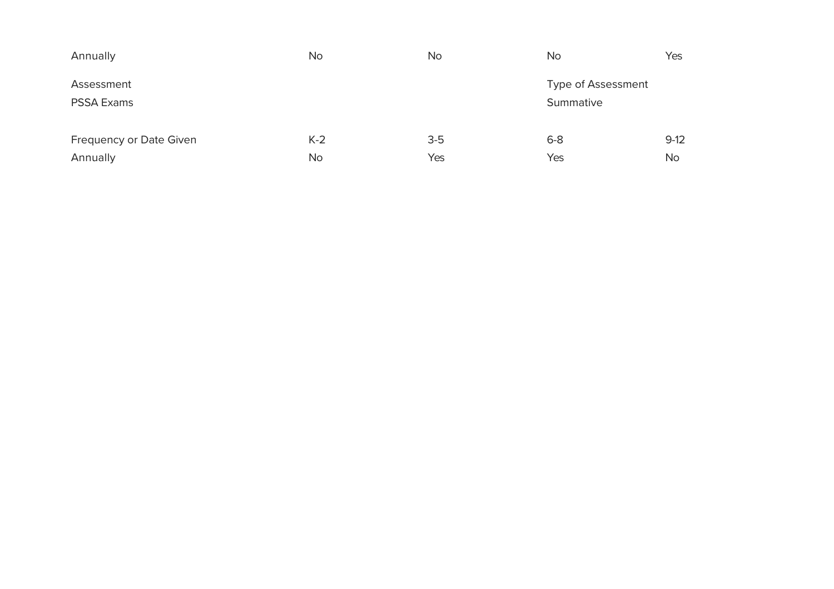| Annually                        | <b>No</b> | <b>No</b> | <b>No</b>                       | Yes       |
|---------------------------------|-----------|-----------|---------------------------------|-----------|
| Assessment<br><b>PSSA Exams</b> |           |           | Type of Assessment<br>Summative |           |
| Frequency or Date Given         | $K-2$     | $3-5$     | $6 - 8$                         | $9-12$    |
| Annually                        | <b>No</b> | Yes       | Yes                             | <b>No</b> |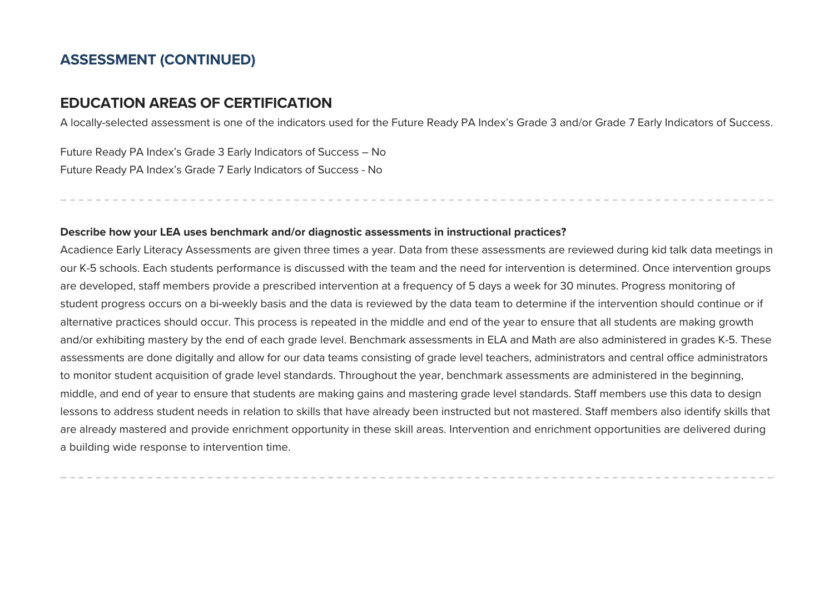#### **ASSESSMENT (CONTINUED)**

#### **FDUCATION ARFAS OF CFRTIFICATION**

A locally-selected assessment is one of the indicators used for the Future Ready PA Index's Grade 3 and/or Grade 7 Early Indicators of Success.

Future Ready PA Index's Grade 3 Early Indicators of Success - No Future Ready PA Index's Grade 7 Early Indicators of Success - No

#### Describe how your LEA uses benchmark and/or diagnostic assessments in instructional practices?

Acadience Early Literacy Assessments are given three times a year. Data from these assessments are reviewed during kid talk data meetings in our K-5 schools. Each students performance is discussed with the team and the need for intervention is determined. Once intervention groups are developed, staff members provide a prescribed intervention at a frequency of 5 days a week for 30 minutes. Progress monitoring of student progress occurs on a bi-weekly basis and the data is reviewed by the data team to determine if the intervention should continue or if alternative practices should occur. This process is repeated in the middle and end of the year to ensure that all students are making growth and/or exhibiting mastery by the end of each grade level. Benchmark assessments in ELA and Math are also administered in grades K-5. These assessments are done digitally and allow for our data teams consisting of grade level teachers, administrators and central office administrators to monitor student acquisition of grade level standards. Throughout the year, benchmark assessments are administered in the beginning, middle, and end of year to ensure that students are making gains and mastering grade level standards. Staff members use this data to design lessons to address student needs in relation to skills that have already been instructed but not mastered. Staff members also identify skills that are already mastered and provide enrichment opportunity in these skill areas. Intervention and enrichment opportunities are delivered during a building wide response to intervention time.